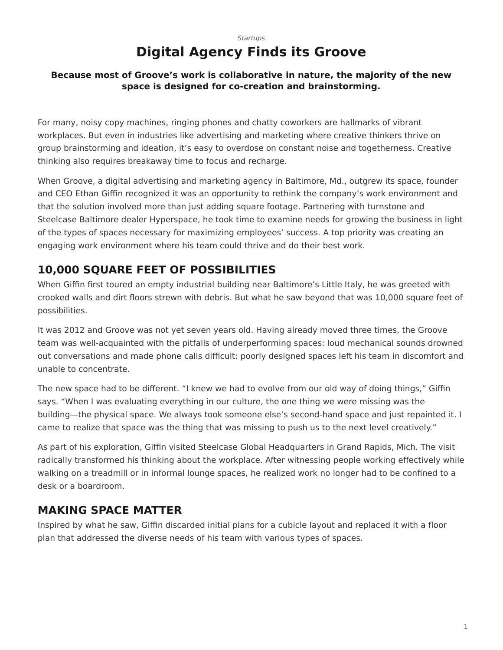#### *[Startups](https://www.steelcase.com/asia-en/research/topics/startups/)* **Digital Agency Finds its Groove**

#### **Because most of Groove's work is collaborative in nature, the majority of the new space is designed for co-creation and brainstorming.**

For many, noisy copy machines, ringing phones and chatty coworkers are hallmarks of vibrant workplaces. But even in industries like advertising and marketing where creative thinkers thrive on group brainstorming and ideation, it's easy to overdose on constant noise and togetherness. Creative thinking also requires breakaway time to focus and recharge.

When Groove, a digital advertising and marketing agency in Baltimore, Md., outgrew its space, founder and CEO Ethan Giffin recognized it was an opportunity to rethink the company's work environment and that the solution involved more than just adding square footage. Partnering with turnstone and Steelcase Baltimore dealer Hyperspace, he took time to examine needs for growing the business in light of the types of spaces necessary for maximizing employees' success. A top priority was creating an engaging work environment where his team could thrive and do their best work.

# **10,000 SQUARE FEET OF POSSIBILITIES**

When Giffin first toured an empty industrial building near Baltimore's Little Italy, he was greeted with crooked walls and dirt floors strewn with debris. But what he saw beyond that was 10,000 square feet of possibilities.

It was 2012 and Groove was not yet seven years old. Having already moved three times, the Groove team was well-acquainted with the pitfalls of underperforming spaces: loud mechanical sounds drowned out conversations and made phone calls difficult: poorly designed spaces left his team in discomfort and unable to concentrate.

The new space had to be different. "I knew we had to evolve from our old way of doing things," Giffin says. "When I was evaluating everything in our culture, the one thing we were missing was the building—the physical space. We always took someone else's second-hand space and just repainted it. I came to realize that space was the thing that was missing to push us to the next level creatively."

As part of his exploration, Giffin visited Steelcase Global Headquarters in Grand Rapids, Mich. The visit radically transformed his thinking about the workplace. After witnessing people working effectively while walking on a treadmill or in informal lounge spaces, he realized work no longer had to be confined to a desk or a boardroom.

### **MAKING SPACE MATTER**

Inspired by what he saw, Giffin discarded initial plans for a cubicle layout and replaced it with a floor plan that addressed the diverse needs of his team with various types of spaces.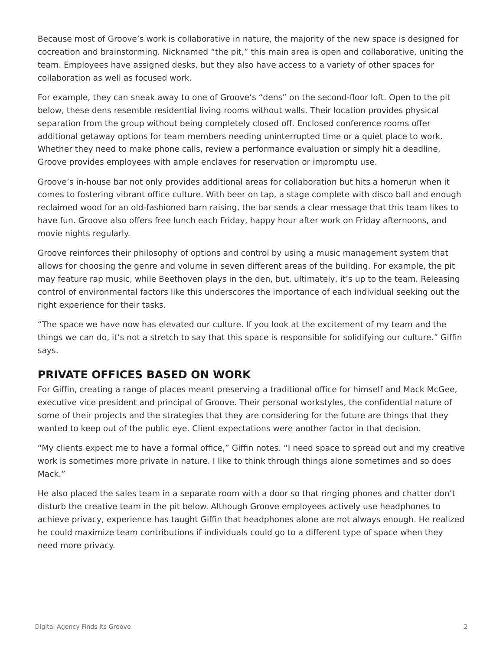Because most of Groove's work is collaborative in nature, the majority of the new space is designed for cocreation and brainstorming. Nicknamed "the pit," this main area is open and collaborative, uniting the team. Employees have assigned desks, but they also have access to a variety of other spaces for collaboration as well as focused work.

For example, they can sneak away to one of Groove's "dens" on the second-floor loft. Open to the pit below, these dens resemble residential living rooms without walls. Their location provides physical separation from the group without being completely closed off. Enclosed conference rooms offer additional getaway options for team members needing uninterrupted time or a quiet place to work. Whether they need to make phone calls, review a performance evaluation or simply hit a deadline, Groove provides employees with ample enclaves for reservation or impromptu use.

Groove's in-house bar not only provides additional areas for collaboration but hits a homerun when it comes to fostering vibrant office culture. With beer on tap, a stage complete with disco ball and enough reclaimed wood for an old-fashioned barn raising, the bar sends a clear message that this team likes to have fun. Groove also offers free lunch each Friday, happy hour after work on Friday afternoons, and movie nights regularly.

Groove reinforces their philosophy of options and control by using a music management system that allows for choosing the genre and volume in seven different areas of the building. For example, the pit may feature rap music, while Beethoven plays in the den, but, ultimately, it's up to the team. Releasing control of environmental factors like this underscores the importance of each individual seeking out the right experience for their tasks.

"The space we have now has elevated our culture. If you look at the excitement of my team and the things we can do, it's not a stretch to say that this space is responsible for solidifying our culture." Giffin says.

### **PRIVATE OFFICES BASED ON WORK**

For Giffin, creating a range of places meant preserving a traditional office for himself and Mack McGee, executive vice president and principal of Groove. Their personal workstyles, the confidential nature of some of their projects and the strategies that they are considering for the future are things that they wanted to keep out of the public eye. Client expectations were another factor in that decision.

"My clients expect me to have a formal office," Giffin notes. "I need space to spread out and my creative work is sometimes more private in nature. I like to think through things alone sometimes and so does Mack."

He also placed the sales team in a separate room with a door so that ringing phones and chatter don't disturb the creative team in the pit below. Although Groove employees actively use headphones to achieve privacy, experience has taught Giffin that headphones alone are not always enough. He realized he could maximize team contributions if individuals could go to a different type of space when they need more privacy.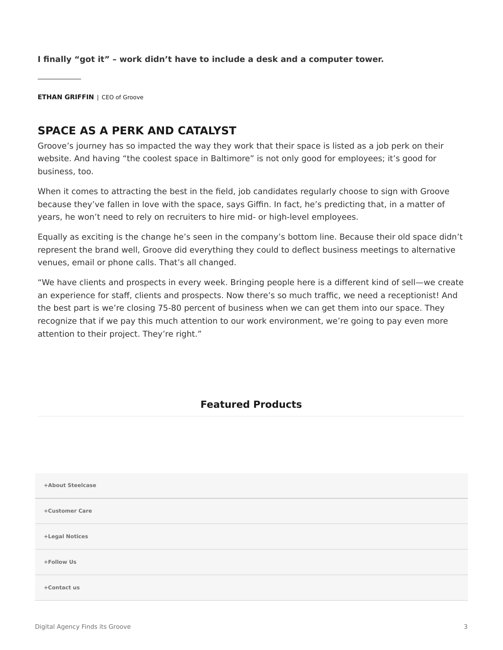**I finally "got it" – work didn't have to include a desk and a computer tower.**

**ETHAN GRIFFIN** | CEO of Groove

## **SPACE AS A PERK AND CATALYST**

Groove's journey has so impacted the way they work that their space is listed as a job perk on their website. And having "the coolest space in Baltimore" is not only good for employees; it's good for business, too.

When it comes to attracting the best in the field, job candidates regularly choose to sign with Groove because they've fallen in love with the space, says Giffin. In fact, he's predicting that, in a matter of years, he won't need to rely on recruiters to hire mid- or high-level employees.

Equally as exciting is the change he's seen in the company's bottom line. Because their old space didn't represent the brand well, Groove did everything they could to deflect business meetings to alternative venues, email or phone calls. That's all changed.

"We have clients and prospects in every week. Bringing people here is a different kind of sell—we create an experience for staff, clients and prospects. Now there's so much traffic, we need a receptionist! And the best part is we're closing 75-80 percent of business when we can get them into our space. They recognize that if we pay this much attention to our work environment, we're going to pay even more attention to their project. They're right."

#### **Featured Products**

| +About Steelcase |  |
|------------------|--|
| +Customer Care   |  |
| +Legal Notices   |  |
| +Follow Us       |  |
| +Contact us      |  |